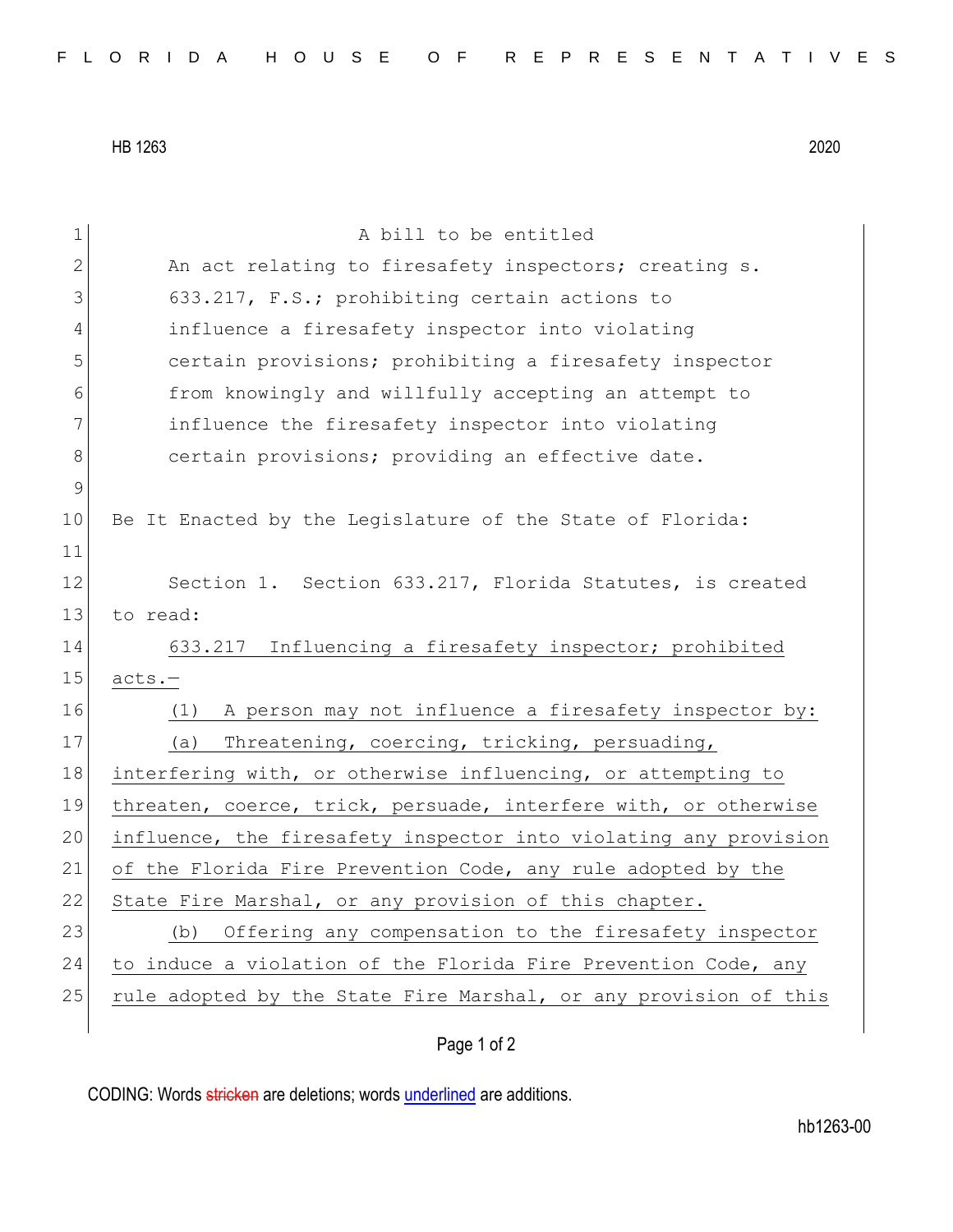HB 1263 2020

| 1           | A bill to be entitled                                            |
|-------------|------------------------------------------------------------------|
| 2           | An act relating to firesafety inspectors; creating s.            |
| 3           | 633.217, F.S.; prohibiting certain actions to                    |
| 4           | influence a firesafety inspector into violating                  |
| 5           | certain provisions; prohibiting a firesafety inspector           |
| 6           | from knowingly and willfully accepting an attempt to             |
| 7           | influence the firesafety inspector into violating                |
| $8\,$       | certain provisions; providing an effective date.                 |
| $\mathsf 9$ |                                                                  |
| 10          | Be It Enacted by the Legislature of the State of Florida:        |
| 11          |                                                                  |
| 12          | Section 1. Section 633.217, Florida Statutes, is created         |
| 13          | to read:                                                         |
| 14          | 633.217 Influencing a firesafety inspector; prohibited           |
| 15          | $acts.-$                                                         |
| 16          | A person may not influence a firesafety inspector by:<br>(1)     |
| 17          | Threatening, coercing, tricking, persuading,<br>(a)              |
| 18          | interfering with, or otherwise influencing, or attempting to     |
| 19          | threaten, coerce, trick, persuade, interfere with, or otherwise  |
| 20          | influence, the firesafety inspector into violating any provision |
| 21          | of the Florida Fire Prevention Code, any rule adopted by the     |
| 22          | State Fire Marshal, or any provision of this chapter.            |
| 23          | Offering any compensation to the firesafety inspector<br>(b)     |
| 24          | to induce a violation of the Florida Fire Prevention Code, any   |
| 25          | rule adopted by the State Fire Marshal, or any provision of this |
|             |                                                                  |

Page 1 of 2

CODING: Words stricken are deletions; words underlined are additions.